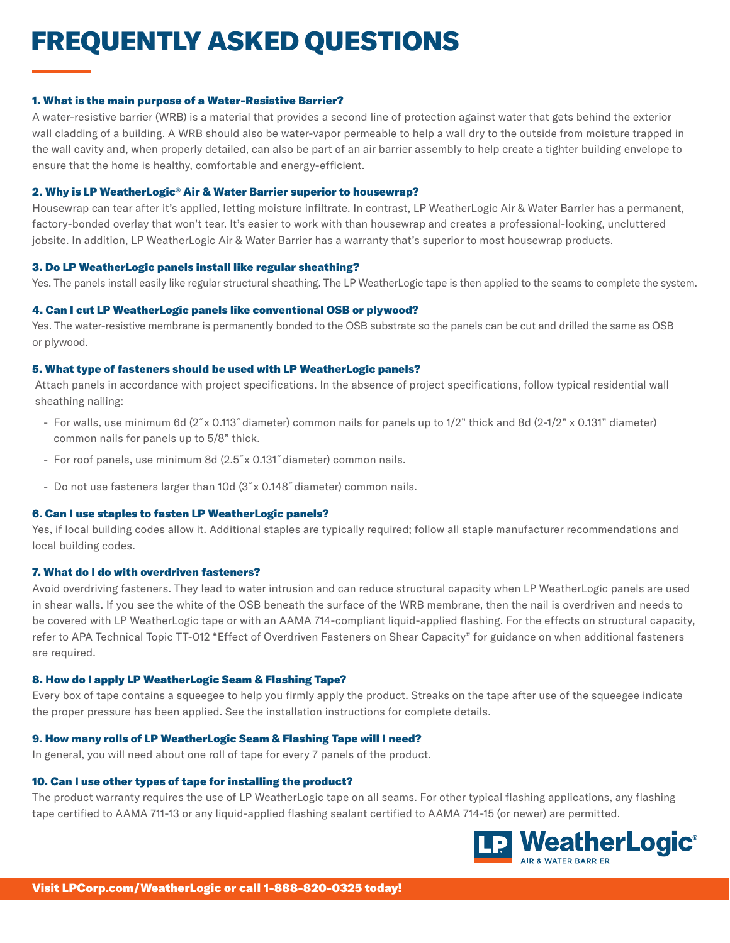# FREQUENTLY ASKED QUESTIONS

#### 1. What is the main purpose of a Water-Resistive Barrier?

A water-resistive barrier (WRB) is a material that provides a second line of protection against water that gets behind the exterior wall cladding of a building. A WRB should also be water-vapor permeable to help a wall dry to the outside from moisture trapped in the wall cavity and, when properly detailed, can also be part of an air barrier assembly to help create a tighter building envelope to ensure that the home is healthy, comfortable and energy-efficient.

## 2. Why is LP WeatherLogic® Air & Water Barrier superior to housewrap?

Housewrap can tear after it's applied, letting moisture infiltrate. In contrast, LP WeatherLogic Air & Water Barrier has a permanent, factory-bonded overlay that won't tear. It's easier to work with than housewrap and creates a professional-looking, uncluttered jobsite. In addition, LP WeatherLogic Air & Water Barrier has a warranty that's superior to most housewrap products.

## 3. Do LP WeatherLogic panels install like regular sheathing?

Yes. The panels install easily like regular structural sheathing. The LP WeatherLogic tape is then applied to the seams to complete the system.

# 4. Can I cut LP WeatherLogic panels like conventional OSB or plywood?

Yes. The water-resistive membrane is permanently bonded to the OSB substrate so the panels can be cut and drilled the same as OSB or plywood.

## 5. What type of fasteners should be used with LP WeatherLogic panels?

Attach panels in accordance with project specifications. In the absence of project specifications, follow typical residential wall sheathing nailing:

- For walls, use minimum 6d (2˝x 0.113˝diameter) common nails for panels up to 1/2" thick and 8d (2-1/2" x 0.131" diameter) common nails for panels up to 5/8" thick.
- For roof panels, use minimum 8d (2.5˝x 0.131˝diameter) common nails.
- Do not use fasteners larger than 10d (3˝x 0.148˝diameter) common nails.

# 6. Can I use staples to fasten LP WeatherLogic panels?

Yes, if local building codes allow it. Additional staples are typically required; follow all staple manufacturer recommendations and local building codes.

# 7. What do I do with overdriven fasteners?

Avoid overdriving fasteners. They lead to water intrusion and can reduce structural capacity when LP WeatherLogic panels are used in shear walls. If you see the white of the OSB beneath the surface of the WRB membrane, then the nail is overdriven and needs to be covered with LP WeatherLogic tape or with an AAMA 714-compliant liquid-applied flashing. For the effects on structural capacity, refer to APA Technical Topic TT-012 "Effect of Overdriven Fasteners on Shear Capacity" for guidance on when additional fasteners are required.

# 8. How do I apply LP WeatherLogic Seam & Flashing Tape?

Every box of tape contains a squeegee to help you firmly apply the product. Streaks on the tape after use of the squeegee indicate the proper pressure has been applied. See the installation instructions for complete details.

# 9. How many rolls of LP WeatherLogic Seam & Flashing Tape will I need?

In general, you will need about one roll of tape for every 7 panels of the product.

# 10. Can I use other types of tape for installing the product?

The product warranty requires the use of LP WeatherLogic tape on all seams. For other typical flashing applications, any flashing tape certified to AAMA 711-13 or any liquid-applied flashing sealant certified to AAMA 714-15 (or newer) are permitted.